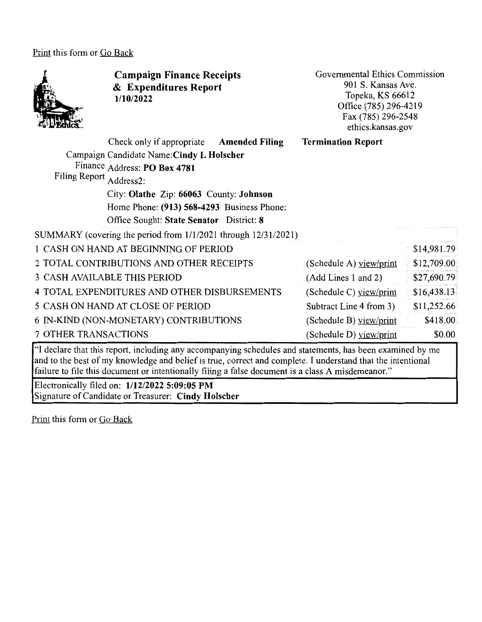Print this form or Go Back



and to the best of my knowledge and belief is true, correct and complete. I understand that the intentional failure to file this document or intentionally filing a false document is a class A misdemeanor."

Electronically filed on: **1/12/2022 5:09:05 PM**  Signature of Candidate or Treasurer: **Cindy Holscher**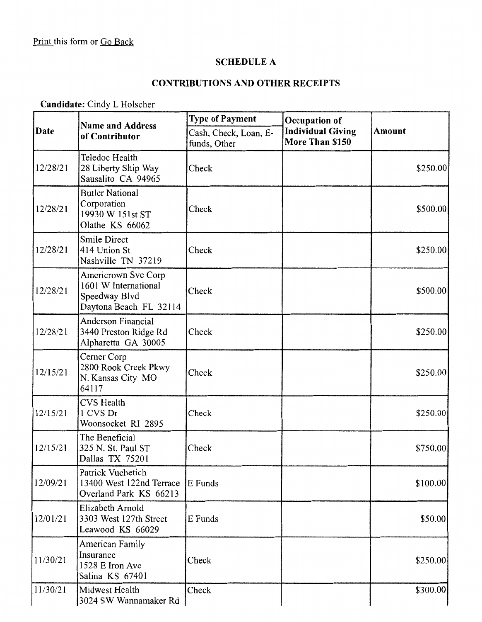$\sim 10^7$ 

#### SCHEDULE A

# CONTRIBUTIONS AND OTHER RECEIPTS

Candidate: Cindy L Holscher

|             | <b>Name and Address</b><br>of Contributor                                              | <b>Type of Payment</b><br>Occupation of |                                             |               |
|-------------|----------------------------------------------------------------------------------------|-----------------------------------------|---------------------------------------------|---------------|
| <b>Date</b> |                                                                                        | Cash, Check, Loan, E-<br>funds, Other   | <b>Individual Giving</b><br>More Than \$150 | <b>Amount</b> |
| 12/28/21    | Teledoc Health<br>28 Liberty Ship Way<br>Sausalito CA 94965                            | Check                                   |                                             | \$250.00      |
| 12/28/21    | <b>Butler National</b><br>Corporation<br>19930 W 151st ST<br>Olathe KS 66062           | Check                                   |                                             | \$500.00      |
| 12/28/21    | <b>Smile Direct</b><br>414 Union St<br>Nashville TN 37219                              | Check                                   |                                             | \$250.00]     |
| 12/28/21    | Americrown Svc Corp<br>1601 W International<br>Speedway Blvd<br>Daytona Beach FL 32114 | Check                                   |                                             | \$500.00      |
| 12/28/21    | <b>Anderson Financial</b><br>3440 Preston Ridge Rd<br>Alpharetta GA 30005              | Check                                   |                                             | \$250.00      |
| 12/15/21    | Cerner Corp<br>2800 Rook Creek Pkwy<br>N. Kansas City MO<br>64117                      | Check                                   |                                             | \$250.00]     |
| 12/15/21    | <b>CVS</b> Health<br>1 CVS Dr<br>Woonsocket RI 2895                                    | Check                                   |                                             | \$250.00      |
| 12/15/21    | The Beneficial<br>325 N. St. Paul ST<br>Dallas TX 75201                                | Check                                   |                                             | \$750.00      |
| 12/09/21    | Patrick Vuchetich<br>13400 West 122nd Terrace<br>Overland Park KS 66213                | E Funds                                 |                                             | \$100.00      |
| 12/01/21    | Elizabeth Arnold<br>3303 West 127th Street<br>Leawood KS 66029                         | E Funds                                 |                                             | \$50.00       |
| 11/30/21    | <b>American Family</b><br>Insurance<br>1528 E Iron Ave<br>Salina KS 67401              | Check                                   |                                             | \$250.00      |
| 11/30/21    | Midwest Health<br>3024 SW Wannamaker Rd                                                | Check                                   |                                             | \$300.00      |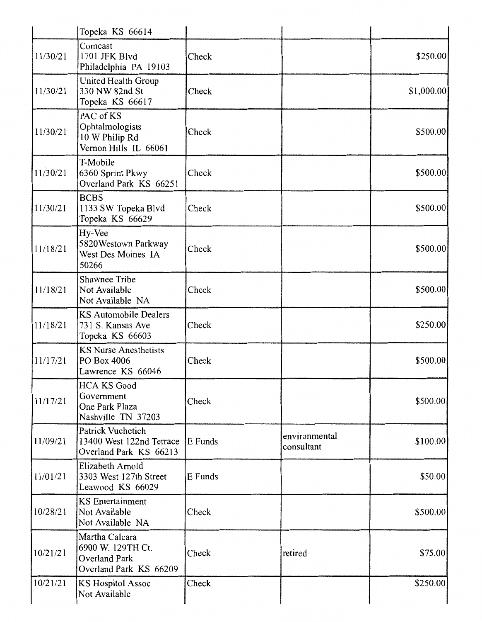|          | Topeka KS 66614                                                                       |         |                             |            |
|----------|---------------------------------------------------------------------------------------|---------|-----------------------------|------------|
| 11/30/21 | Comcast<br>1701 JFK Blvd<br>Philadelphia PA 19103                                     | Check   |                             | \$250.00]  |
| 11/30/21 | United Health Group<br>330 NW 82nd St<br>Topeka KS 66617                              | Check   |                             | \$1,000.00 |
| 11/30/21 | PAC of KS<br>Ophtalmologists<br>10 W Philip Rd<br>Vernon Hills IL 66061               | Check   |                             | \$500.00   |
| 11/30/21 | T-Mobile<br>6360 Sprint Pkwy<br>Overland Park KS 66251                                | Check   |                             | \$500.00   |
| 11/30/21 | <b>BCBS</b><br>1133 SW Topeka Blvd<br>Topeka KS 66629                                 | Check   |                             | \$500.00   |
| 11/18/21 | Hy-Vee<br>5820 Westown Parkway<br>West Des Moines IA<br>50266                         | Check   |                             | \$500.00   |
| 11/18/21 | <b>Shawnee Tribe</b><br>Not Available<br>Not Available NA                             | Check   |                             | \$500.00   |
| 11/18/21 | <b>KS Automobile Dealers</b><br>731 S. Kansas Ave<br>Topeka KS 66603                  | Check   |                             | \$250.00   |
| 11/17/21 | <b>KS Nurse Anesthetists</b><br>PO Box 4006<br>Lawrence KS 66046                      | Check   |                             | \$500.00   |
| 11/17/21 | <b>HCA KS Good</b><br>Government<br>One Park Plaza<br>Nashville TN 37203              | Check   |                             | \$500.00   |
| 11/09/21 | Patrick Vuchetich<br>13400 West 122nd Terrace<br>Overland Park KS 66213               | E Funds | environmental<br>consultant | \$100.00   |
| 11/01/21 | Elizabeth Arnold<br>3303 West 127th Street<br>Leawood KS 66029                        | E Funds |                             | \$50.00    |
| 10/28/21 | <b>KS</b> Entertainment<br>Not Available<br>Not Available NA                          | Check   |                             | \$500.00   |
| 10/21/21 | Martha Calcara<br>6900 W. 129TH Ct.<br><b>Overland Park</b><br>Overland Park KS 66209 | Check   | retired                     | \$75.00    |
| 10/21/21 | KS Hospitol Assoc<br>Not Available                                                    | Check   |                             | \$250.00   |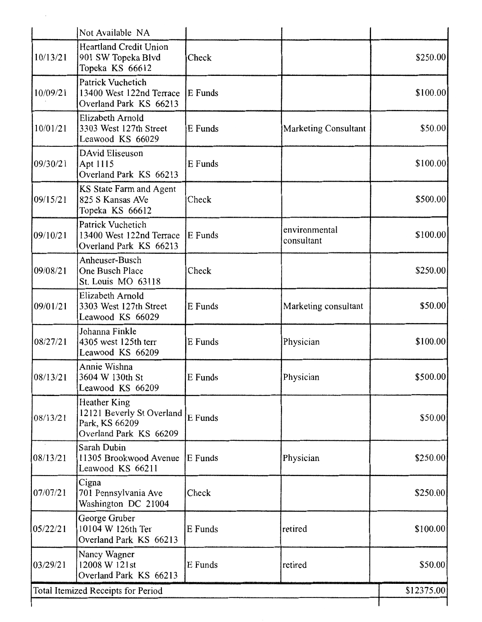|                                    | Not Available NA                                                                             |         |                             |           |
|------------------------------------|----------------------------------------------------------------------------------------------|---------|-----------------------------|-----------|
| 10/13/21                           | <b>Heartland Credit Union</b><br>901 SW Topeka Blvd<br>Topeka KS 66612                       | Check   |                             | \$250.00  |
| 10/09/21                           | Patrick Vuchetich<br>13400 West 122nd Terrace<br>Overland Park KS 66213                      | E Funds |                             | \$100.00] |
| 10/01/21                           | Elizabeth Arnold<br>3303 West 127th Street<br>Leawood KS 66029                               | E Funds | <b>Marketing Consultant</b> | \$50.00   |
| 09/30/21                           | DAvid Eliseuson<br>Apt 1115<br>Overland Park KS 66213                                        | E Funds |                             | \$100.00  |
| 09/15/21                           | KS State Farm and Agent<br>825 S Kansas AVe<br>Topeka KS 66612                               | Check   |                             | \$500.00  |
| 09/10/21                           | Patrick Vuchetich<br>13400 West 122nd Terrace<br>Overland Park KS 66213                      | E Funds | environmental<br>consultant | \$100.00  |
| 09/08/21                           | Anheuser-Busch<br>One Busch Place<br>St. Louis MO 63118                                      | Check   |                             | \$250.00  |
| 09/01/21                           | Elizabeth Arnold<br>3303 West 127th Street<br>Leawood KS 66029                               | E Funds | Marketing consultant        | \$50.00   |
| 08/27/21                           | Johanna Finkle<br>4305 west 125th terr<br>Leawood KS 66209                                   | E Funds | Physician                   | \$100.00  |
| 08/13/21                           | Annie Wishna<br>3604 W 130th St<br>Leawood KS 66209                                          | E Funds | Physician                   | \$500.00  |
| 08/13/21                           | <b>Heather King</b><br>12121 Beverly St Overland<br>Park, KS 66209<br>Overland Park KS 66209 | E Funds |                             | \$50.00   |
| $\lambda$<br>08/13/21              | Sarah Dubin<br>11305 Brookwood Avenue<br>Leawood KS 66211                                    | E Funds | Physician                   | \$250.00  |
| 07/07/21                           | Cigna<br>701 Pennsylvania Ave<br>Washington DC 21004                                         | Check   |                             | \$250.00  |
| 05/22/21                           | George Gruber<br>10104 W 126th Ter<br>Overland Park KS 66213                                 | E Funds | retired                     | \$100.00  |
| 03/29/21                           | Nancy Wagner<br>12008 W 121st<br>Overland Park KS 66213                                      | E Funds | retired                     | \$50.00   |
| Total Itemized Receipts for Period |                                                                                              |         |                             |           |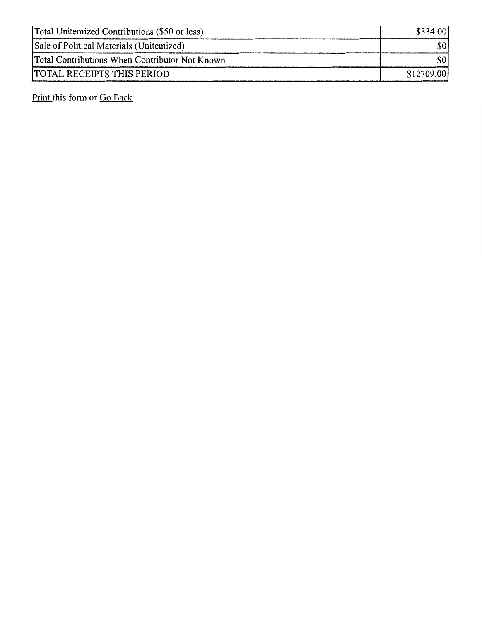| Total Unitemized Contributions (\$50 or less)  | \$334.00   |
|------------------------------------------------|------------|
| Sale of Political Materials (Unitemized)       |            |
| Total Contributions When Contributor Not Known |            |
| <b>TOTAL RECEIPTS THIS PERIOD</b>              | \$12709.00 |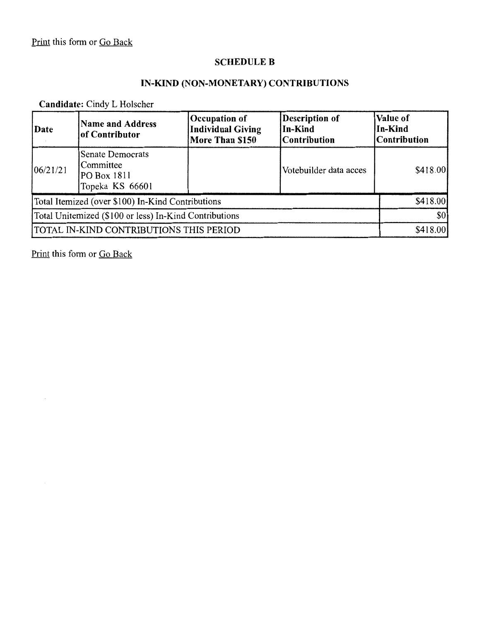#### **SCHEDULE B**

## **IN-KIND (NON-MONETARY) CONTRIBUTIONS**

## **Candidate:** Cindy L Holscher

| Date                                                   | <b>Name and Address</b><br>of Contributor                              | Occupation of<br><b>Individual Giving</b><br>More Than \$150 | <b>Description of</b><br>In-Kind<br><b>Contribution</b> | Value of<br>In-Kind<br> Contribution |
|--------------------------------------------------------|------------------------------------------------------------------------|--------------------------------------------------------------|---------------------------------------------------------|--------------------------------------|
| 106/21/21                                              | <b>Senate Democrats</b><br>Committee<br>PO Box 1811<br>Topeka KS 66601 |                                                              | Votebuilder data acces                                  | \$418.00                             |
| Total Itemized (over \$100) In-Kind Contributions      |                                                                        |                                                              | \$418.00]                                               |                                      |
| Total Unitemized (\$100 or less) In-Kind Contributions |                                                                        |                                                              | \$0                                                     |                                      |
| TOTAL IN-KIND CONTRIBUTIONS THIS PERIOD                |                                                                        |                                                              | \$418.00                                                |                                      |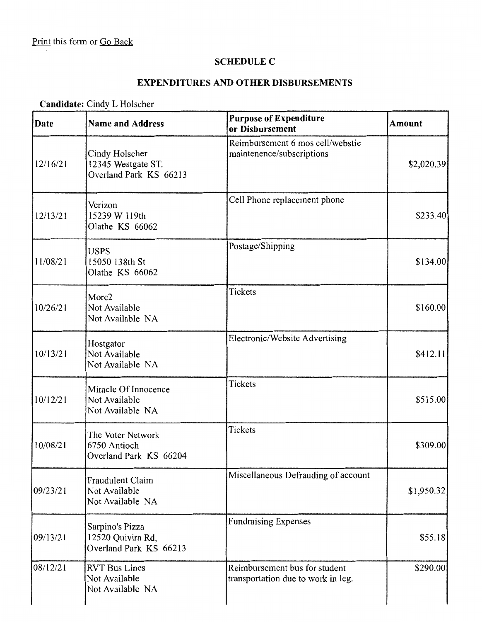### **SCHEDULE C**

### **EXPENDITURES AND OTHER DISBURSEMENTS**

## **Candidate:** Cindy L Holscher

| <b>Date</b> | <b>Name and Address</b>                                        | <b>Purpose of Expenditure</b><br>or Disbursement                    | <b>Amount</b> |
|-------------|----------------------------------------------------------------|---------------------------------------------------------------------|---------------|
| 12/16/21    | Cindy Holscher<br>12345 Westgate ST.<br>Overland Park KS 66213 | Reimbursement 6 mos cell/webstie<br>maintenence/subscriptions       | \$2,020.39    |
| 12/13/21    | Verizon<br>15239 W 119th<br>Olathe KS 66062                    | Cell Phone replacement phone                                        | \$233.40      |
| 11/08/21    | <b>USPS</b><br>15050 138th St<br>Olathe KS 66062               | Postage/Shipping                                                    | \$134.00      |
| 10/26/21    | More2<br>Not Available<br>Not Available NA                     | <b>Tickets</b>                                                      | \$160.00      |
| 10/13/21    | Hostgator<br>Not Available<br>Not Available NA                 | Electronic/Website Advertising                                      | \$412.11      |
| 10/12/21    | Miracle Of Innocence<br>Not Available<br>Not Available NA      | <b>Tickets</b>                                                      | \$515.00      |
| 10/08/21    | The Voter Network<br>6750 Antioch<br>Overland Park KS 66204    | Tickets                                                             | \$309.00      |
| 09/23/21    | Fraudulent Claim<br>Not Available<br>Not Available NA          | Miscellaneous Defrauding of account                                 | \$1,950.32    |
| 09/13/21    | Sarpino's Pizza<br>12520 Quivira Rd,<br>Overland Park KS 66213 | <b>Fundraising Expenses</b>                                         | \$55.18       |
| 08/12/21    | <b>RVT Bus Lines</b><br>Not Available<br>Not Available NA      | Reimbursement bus for student<br>transportation due to work in leg. | \$290.00      |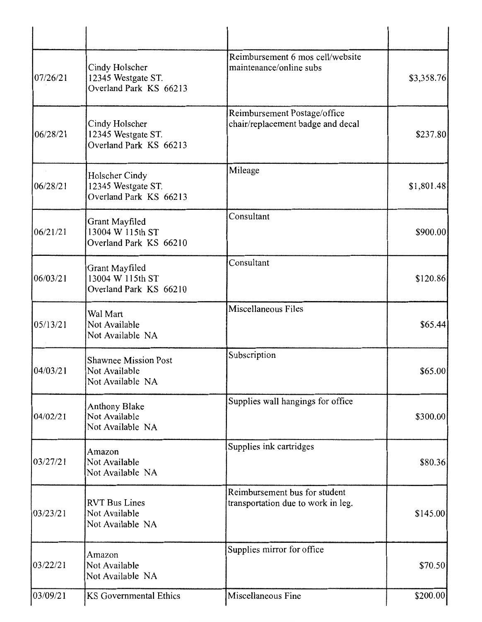| 07/26/21 | Cindy Holscher<br>12345 Westgate ST.<br>Overland Park KS 66213   | Reimbursement 6 mos cell/website<br>maintenance/online subs         | \$3,358.76  |
|----------|------------------------------------------------------------------|---------------------------------------------------------------------|-------------|
| 06/28/21 | Cindy Holscher<br>12345 Westgate ST.<br>Overland Park KS 66213   | Reimbursement Postage/office<br>chair/replacement badge and decal   | \$237.80    |
| 06/28/21 | Holscher Cindy<br>12345 Westgate ST.<br>Overland Park KS 66213   | Mileage                                                             | \$1,801.48] |
| 06/21/21 | Grant Mayfiled<br>13004 W 115th ST<br>Overland Park KS 66210     | Consultant                                                          | \$900.00    |
| 06/03/21 | Grant Mayfiled<br>13004 W 115th ST<br>Overland Park KS 66210     | Consultant                                                          | \$120.86    |
| 05/13/21 | Wal Mart<br>Not Available<br>Not Available NA                    | Miscellaneous Files                                                 | \$65.44]    |
| 04/03/21 | <b>Shawnee Mission Post</b><br>Not Available<br>Not Available NA | Subscription                                                        | \$65.00     |
| 04/02/21 | Anthony Blake<br>Not Available<br>Not Available NA               | Supplies wall hangings for office                                   | \$300.00    |
| 03/27/21 | Amazon<br>Not Available<br>Not Available NA                      | Supplies ink cartridges                                             | \$80.36     |
| 03/23/21 | <b>RVT Bus Lines</b><br>Not Available<br>Not Available NA        | Reimbursement bus for student<br>transportation due to work in leg. | \$145.00    |
| 03/22/21 | Amazon<br>Not Available<br>Not Available NA                      | Supplies mirror for office                                          | \$70.50     |
| 03/09/21 | <b>KS</b> Governmental Ethics                                    | Miscellaneous Fine                                                  | \$200.00]   |